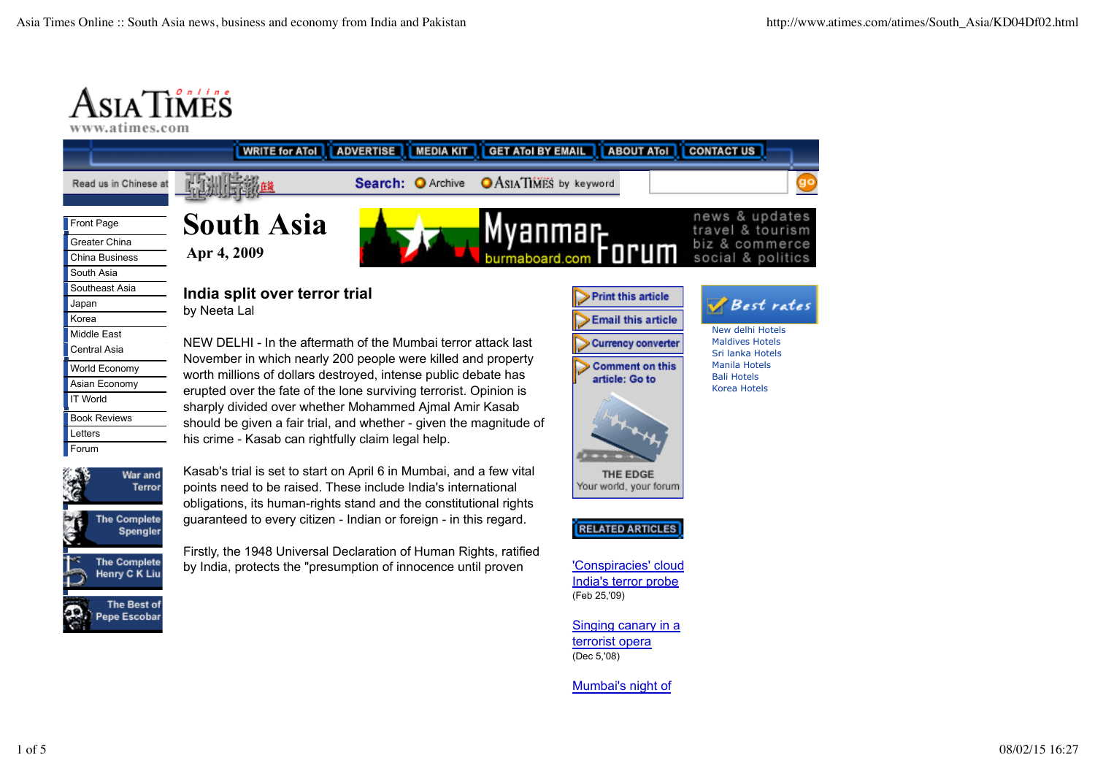# ASIATIMES

www.atimes.com

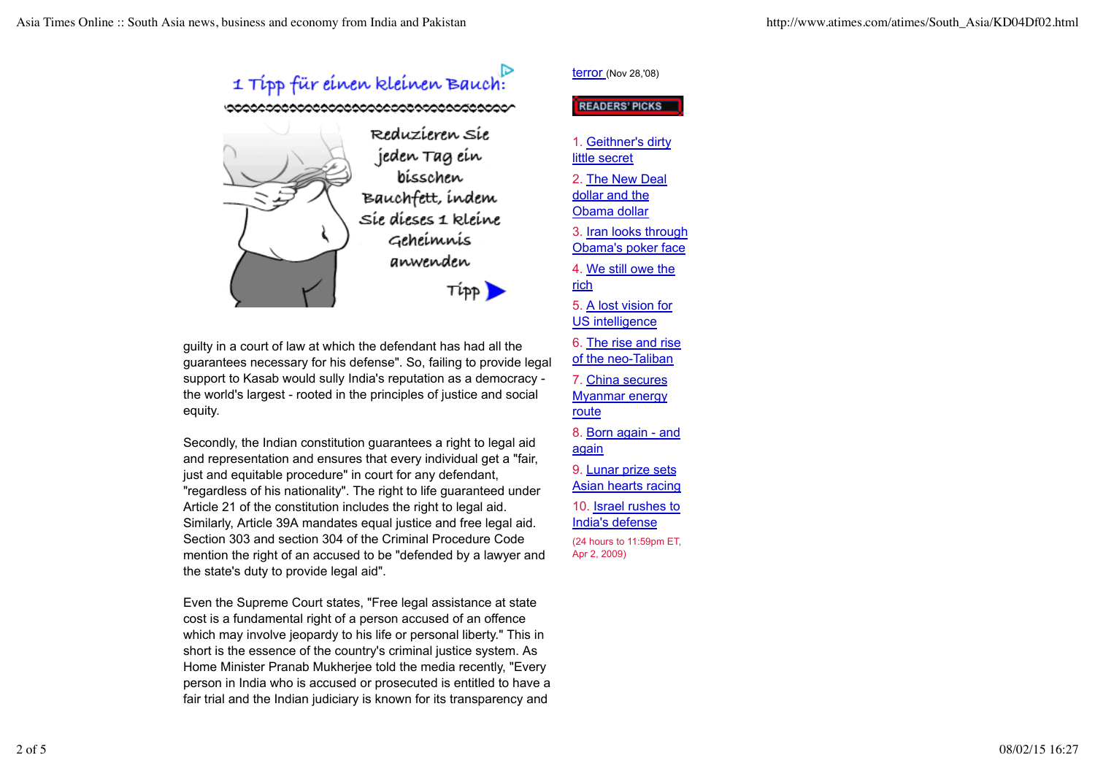

guilty in a court of law at which the defendant has had all the guarantees necessary for his defense". So, failing to provide legal support to Kasab would sully India's reputation as a democracy the world's largest - rooted in the principles of justice and social equity.

Secondly, the Indian constitution guarantees a right to legal aid and representation and ensures that every individual get a "fair, just and equitable procedure" in court for any defendant, "regardless of his nationality". The right to life guaranteed under Article 21 of the constitution includes the right to legal aid. Similarly, Article 39A mandates equal justice and free legal aid. Section 303 and section 304 of the Criminal Procedure Code mention the right of an accused to be "defended by a lawyer and the state's duty to provide legal aid".

Even the Supreme Court states, "Free legal assistance at state cost is a fundamental right of a person accused of an offence which may involve jeopardy to his life or personal liberty." This in short is the essence of the country's criminal justice system. As Home Minister Pranab Mukherjee told the media recently, "Every person in India who is accused or prosecuted is entitled to have a fair trial and the Indian judiciary is known for its transparency and

#### terror (Nov 28,'08)

#### **READERS PICKS**

1. Geithner's dirty little secret 2. The New Deal dollar and the Obama dollar 3. Iran looks through Obama's poker face 4. We still owe the rich 5. A lost vision for US intelligence 6. The rise and rise of the neo-Taliban 7. China secures Myanmar energy route 8. Born again - and again 9. Lunar prize sets Asian hearts racing 10. Israel rushes to India's defense (24 hours to 11:59pm ET, Apr 2, 2009)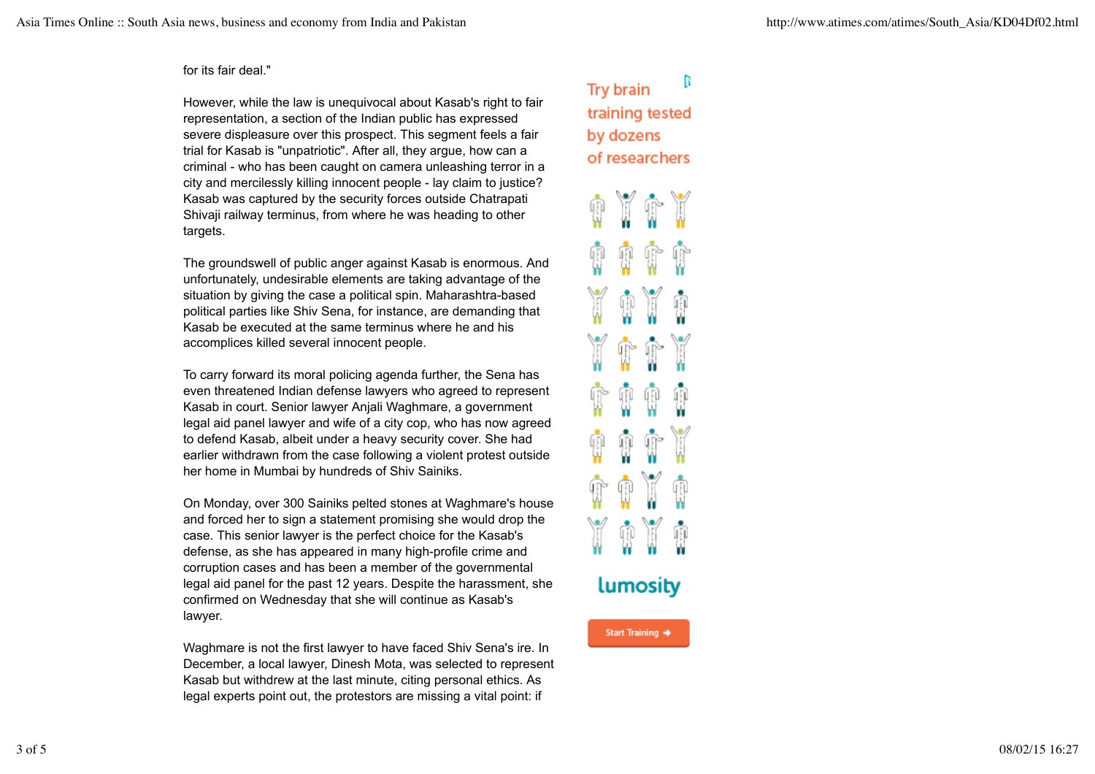#### for its fair deal."

However, while the law is unequivocal about Kasab's right to fair representation, a section of the Indian public has expressed severe displeasure over this prospect. This segment feels a fair trial for Kasab is "unpatriotic". After all, they argue, how can a criminal - who has been caught on camera unleashing terror in a city and mercilessly killing innocent people - lay claim to justice? Kasab was captured by the security forces outside Chatrapati Shivaji railway terminus, from where he was heading to other targets.

The groundswell of public anger against Kasab is enormous. And unfortunately, undesirable elements are taking advantage of the situation by giving the case a political spin. Maharashtra-based political parties like Shiv Sena, for instance, are demanding that Kasab be executed at the same terminus where he and his accomplices killed several innocent people.

To carry forward its moral policing agenda further, the Sena has even threatened Indian defense lawyers who agreed to represent Kasab in court. Senior lawyer Anjali Waghmare, a government legal aid panel lawyer and wife of a city cop, who has now agreed to defend Kasab, albeit under a heavy security cover. She had earlier withdrawn from the case following a violent protest outside her home in Mumbai by hundreds of Shiv Sainiks.

On Monday, over 300 Sainiks pelted stones at Waghmare's house and forced her to sign a statement promising she would drop the case. This senior lawyer is the perfect choice for the Kasab's defense, as she has appeared in many high-profile crime and corruption cases and has been a member of the governmental legal aid panel for the past 12 years. Despite the harassment, she confirmed on Wednesday that she will continue as Kasab's lawyer.

Waghmare is not the first lawyer to have faced Shiv Sena's ire. In December, a local lawyer, Dinesh Mota, was selected to represent Kasab but withdrew at the last minute, citing personal ethics. As legal experts point out, the protestors are missing a vital point: if

#### B **Try brain** training tested by dozens of researchers



### **Lumosity**

Start Training →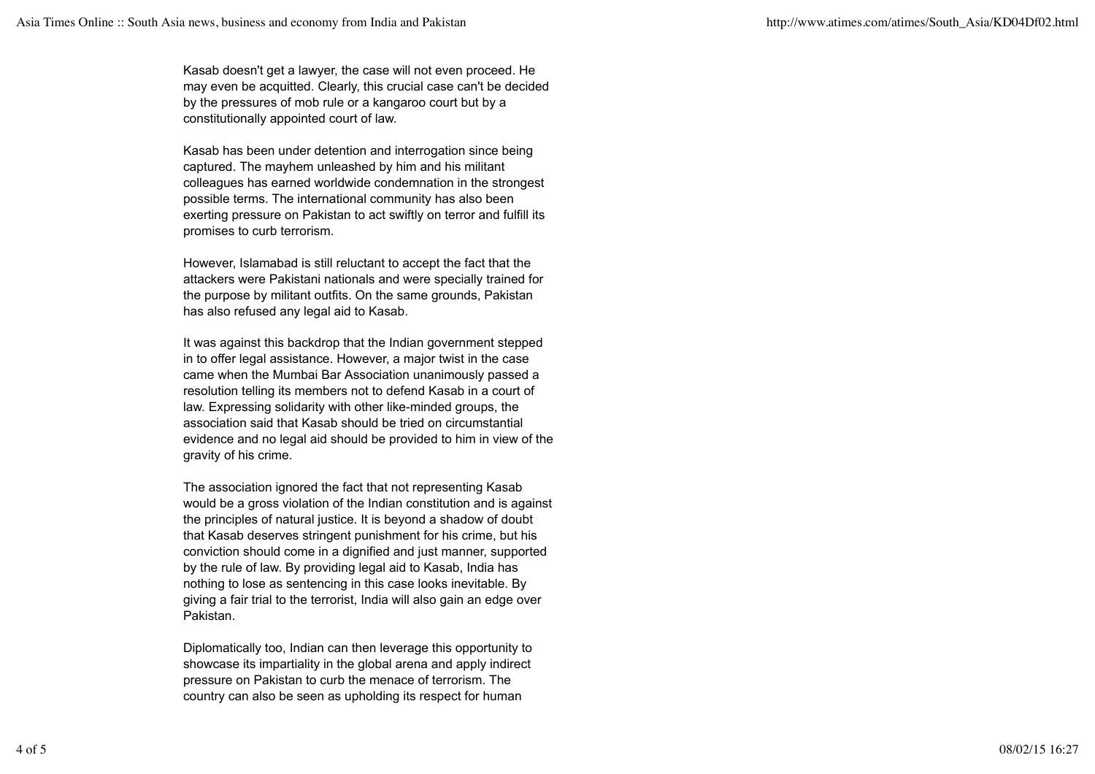Kasab doesn't get a lawyer, the case will not even proceed. He may even be acquitted. Clearly, this crucial case can't be decided by the pressures of mob rule or a kangaroo court but by a constitutionally appointed court of law.

Kasab has been under detention and interrogation since being captured. The mayhem unleashed by him and his militant colleagues has earned worldwide condemnation in the strongest possible terms. The international community has also been exerting pressure on Pakistan to act swiftly on terror and fulfill its promises to curb terrorism.

However, Islamabad is still reluctant to accept the fact that the attackers were Pakistani nationals and were specially trained for the purpose by militant outfits. On the same grounds, Pakistan has also refused any legal aid to Kasab.

It was against this backdrop that the Indian government stepped in to offer legal assistance. However, a major twist in the case came when the Mumbai Bar Association unanimously passed a resolution telling its members not to defend Kasab in a court of law. Expressing solidarity with other like-minded groups, the association said that Kasab should be tried on circumstantial evidence and no legal aid should be provided to him in view of the gravity of his crime.

The association ignored the fact that not representing Kasab would be a gross violation of the Indian constitution and is against the principles of natural justice. It is beyond a shadow of doubt that Kasab deserves stringent punishment for his crime, but his conviction should come in a dignified and just manner, supported by the rule of law. By providing legal aid to Kasab, India has nothing to lose as sentencing in this case looks inevitable. By giving a fair trial to the terrorist, India will also gain an edge over Pakistan.

Diplomatically too, Indian can then leverage this opportunity to showcase its impartiality in the global arena and apply indirect pressure on Pakistan to curb the menace of terrorism. The country can also be seen as upholding its respect for human